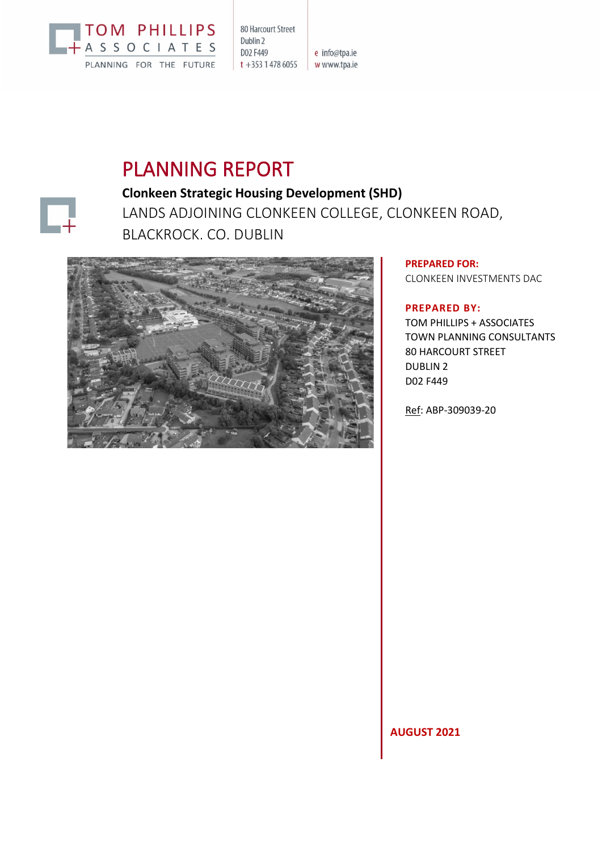

80 Harcourt Street Dublin 2 D02 F449  $t + 35314786055$  www.tpa.ie

e info@tpa.ie

# PLANNING REPORT



# **Clonkeen Strategic Housing Development (SHD)** LANDS ADJOINING CLONKEEN COLLEGE, CLONKEEN ROAD, BLACKROCK, CO. DUBLIN



**PREPARED FOR:** CLONKEEN INVESTMENTS DAC

# **PREPARED BY:**

TOM PHILLIPS + ASSOCIATES TOWN PLANNING CONSULTANTS 80 HARCOURT STREET DUBLIN 2 D02 F449

Ref: ABP-309039-20

**AUGUST 2021**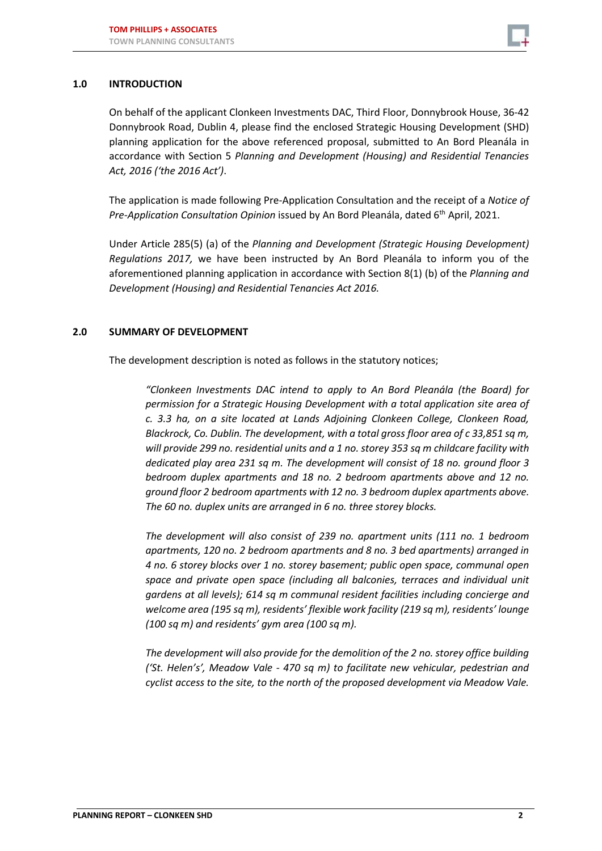

#### **1.0 INTRODUCTION**

On behalf of the applicant Clonkeen Investments DAC, Third Floor, Donnybrook House, 36-42 Donnybrook Road, Dublin 4, please find the enclosed Strategic Housing Development (SHD) planning application for the above referenced proposal, submitted to An Bord Pleanála in accordance with Section 5 *Planning and Development (Housing) and Residential Tenancies Act, 2016 ('the 2016 Act')*.

The application is made following Pre-Application Consultation and the receipt of a *Notice of Pre-Application Consultation Opinion* issued by An Bord Pleanála, dated 6th April, 2021.

Under Article 285(5) (a) of the *Planning and Development (Strategic Housing Development) Regulations 2017,* we have been instructed by An Bord Pleanála to inform you of the aforementioned planning application in accordance with Section 8(1) (b) of the *Planning and Development (Housing) and Residential Tenancies Act 2016.*

#### **2.0 SUMMARY OF DEVELOPMENT**

The development description is noted as follows in the statutory notices;

*"Clonkeen Investments DAC intend to apply to An Bord Pleanála (the Board) for permission for a Strategic Housing Development with a total application site area of c. 3.3 ha, on a site located at Lands Adjoining Clonkeen College, Clonkeen Road, Blackrock, Co. Dublin. The development, with a total gross floor area of c 33,851 sq m, will provide 299 no. residential units and a 1 no. storey 353 sq m childcare facility with dedicated play area 231 sq m. The development will consist of 18 no. ground floor 3 bedroom duplex apartments and 18 no. 2 bedroom apartments above and 12 no. ground floor 2 bedroom apartments with 12 no. 3 bedroom duplex apartments above. The 60 no. duplex units are arranged in 6 no. three storey blocks.* 

*The development will also consist of 239 no. apartment units (111 no. 1 bedroom apartments, 120 no. 2 bedroom apartments and 8 no. 3 bed apartments) arranged in 4 no. 6 storey blocks over 1 no. storey basement; public open space, communal open space and private open space (including all balconies, terraces and individual unit gardens at all levels); 614 sq m communal resident facilities including concierge and welcome area (195 sq m), residents' flexible work facility (219 sq m), residents' lounge (100 sq m) and residents' gym area (100 sq m).*

*The development will also provide for the demolition of the 2 no. storey office building ('St. Helen's', Meadow Vale - 470 sq m) to facilitate new vehicular, pedestrian and cyclist access to the site, to the north of the proposed development via Meadow Vale.*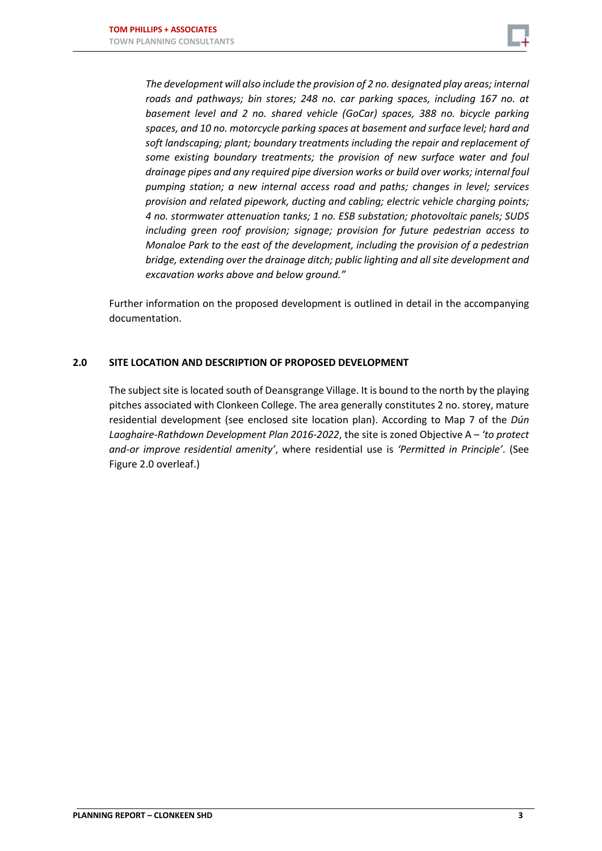

*The development will also include the provision of 2 no. designated play areas; internal roads and pathways; bin stores; 248 no. car parking spaces, including 167 no. at basement level and 2 no. shared vehicle (GoCar) spaces, 388 no. bicycle parking spaces, and 10 no. motorcycle parking spaces at basement and surface level; hard and soft landscaping; plant; boundary treatments including the repair and replacement of some existing boundary treatments; the provision of new surface water and foul drainage pipes and any required pipe diversion works or build over works; internal foul pumping station; a new internal access road and paths; changes in level; services provision and related pipework, ducting and cabling; electric vehicle charging points; 4 no. stormwater attenuation tanks; 1 no. ESB substation; photovoltaic panels; SUDS including green roof provision; signage; provision for future pedestrian access to Monaloe Park to the east of the development, including the provision of a pedestrian bridge, extending over the drainage ditch; public lighting and all site development and excavation works above and below ground."*

Further information on the proposed development is outlined in detail in the accompanying documentation.

## **2.0 SITE LOCATION AND DESCRIPTION OF PROPOSED DEVELOPMENT**

The subject site is located south of Deansgrange Village. It is bound to the north by the playing pitches associated with Clonkeen College. The area generally constitutes 2 no. storey, mature residential development (see enclosed site location plan). According to Map 7 of the *Dún Laoghaire-Rathdown Development Plan 2016-2022*, the site is zoned Objective A – *'to protect and-or improve residential amenity'*, where residential use is *'Permitted in Principle'*. (See Figure 2.0 overleaf.)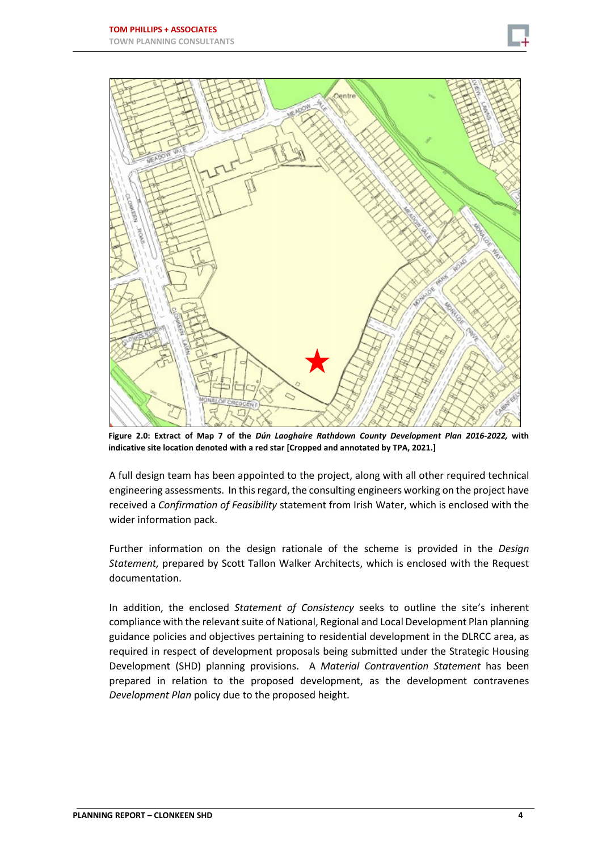



**Figure 2.0: Extract of Map 7 of the** *Dún Laoghaire Rathdown County Development Plan 2016-2022,* **with indicative site location denoted with a red star [Cropped and annotated by TPA, 2021.]**

A full design team has been appointed to the project, along with all other required technical engineering assessments. In thisregard, the consulting engineers working on the project have received a *Confirmation of Feasibility* statement from Irish Water, which is enclosed with the wider information pack.

Further information on the design rationale of the scheme is provided in the *Design Statement,* prepared by Scott Tallon Walker Architects, which is enclosed with the Request documentation.

In addition, the enclosed *Statement of Consistency* seeks to outline the site's inherent compliance with the relevant suite of National, Regional and Local Development Plan planning guidance policies and objectives pertaining to residential development in the DLRCC area, as required in respect of development proposals being submitted under the Strategic Housing Development (SHD) planning provisions. A *Material Contravention Statement* has been prepared in relation to the proposed development, as the development contravenes *Development Plan* policy due to the proposed height.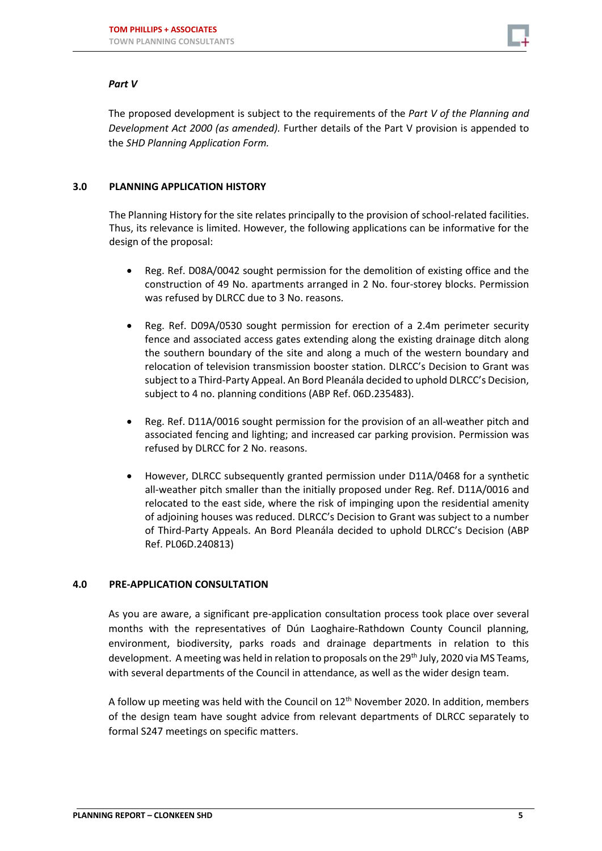

## *Part V*

The proposed development is subject to the requirements of the *Part V of the Planning and Development Act 2000 (as amended).* Further details of the Part V provision is appended to the *SHD Planning Application Form.*

# **3.0 PLANNING APPLICATION HISTORY**

The Planning History for the site relates principally to the provision of school-related facilities. Thus, its relevance is limited. However, the following applications can be informative for the design of the proposal:

- Reg. Ref. D08A/0042 sought permission for the demolition of existing office and the construction of 49 No. apartments arranged in 2 No. four-storey blocks. Permission was refused by DLRCC due to 3 No. reasons.
- Reg. Ref. D09A/0530 sought permission for erection of a 2.4m perimeter security fence and associated access gates extending along the existing drainage ditch along the southern boundary of the site and along a much of the western boundary and relocation of television transmission booster station. DLRCC's Decision to Grant was subject to a Third-Party Appeal. An Bord Pleanála decided to uphold DLRCC's Decision, subject to 4 no. planning conditions (ABP Ref. 06D.235483).
- Reg. Ref. D11A/0016 sought permission for the provision of an all-weather pitch and associated fencing and lighting; and increased car parking provision. Permission was refused by DLRCC for 2 No. reasons.
- However, DLRCC subsequently granted permission under D11A/0468 for a synthetic all-weather pitch smaller than the initially proposed under Reg. Ref. D11A/0016 and relocated to the east side, where the risk of impinging upon the residential amenity of adjoining houses was reduced. DLRCC's Decision to Grant was subject to a number of Third-Party Appeals. An Bord Pleanála decided to uphold DLRCC's Decision (ABP Ref. PL06D.240813)

#### **4.0 PRE-APPLICATION CONSULTATION**

As you are aware, a significant pre-application consultation process took place over several months with the representatives of Dún Laoghaire-Rathdown County Council planning, environment, biodiversity, parks roads and drainage departments in relation to this development. A meeting was held in relation to proposals on the 29<sup>th</sup> July, 2020 via MS Teams, with several departments of the Council in attendance, as well as the wider design team.

A follow up meeting was held with the Council on  $12<sup>th</sup>$  November 2020. In addition, members of the design team have sought advice from relevant departments of DLRCC separately to formal S247 meetings on specific matters.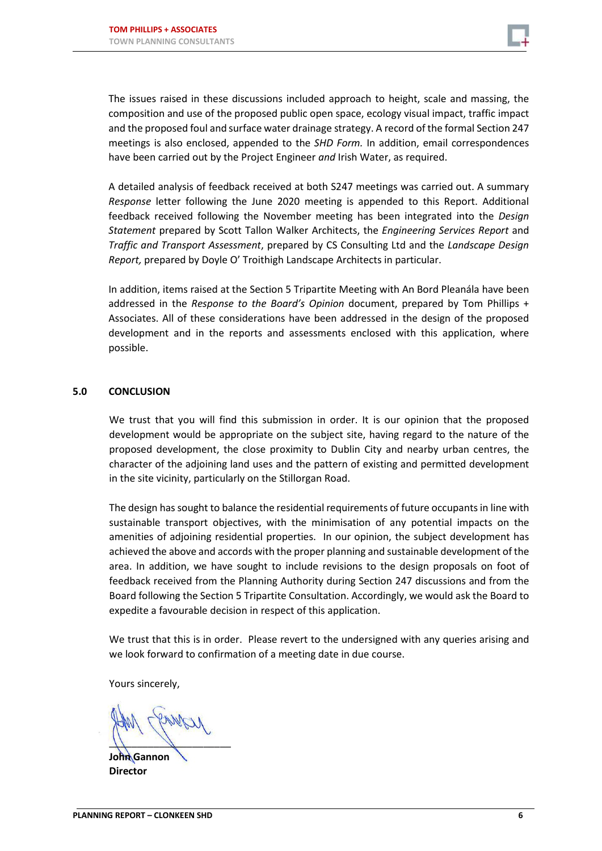

The issues raised in these discussions included approach to height, scale and massing, the composition and use of the proposed public open space, ecology visual impact, traffic impact and the proposed foul and surface water drainage strategy. A record of the formal Section 247 meetings is also enclosed, appended to the *SHD Form.* In addition, email correspondences have been carried out by the Project Engineer *and* Irish Water, as required.

A detailed analysis of feedback received at both S247 meetings was carried out. A summary *Response* letter following the June 2020 meeting is appended to this Report. Additional feedback received following the November meeting has been integrated into the *Design Statement* prepared by Scott Tallon Walker Architects, the *Engineering Services Report* and *Traffic and Transport Assessment*, prepared by CS Consulting Ltd and the *Landscape Design Report,* prepared by Doyle O' Troithigh Landscape Architects in particular.

In addition, items raised at the Section 5 Tripartite Meeting with An Bord Pleanála have been addressed in the *Response to the Board's Opinion* document, prepared by Tom Phillips + Associates. All of these considerations have been addressed in the design of the proposed development and in the reports and assessments enclosed with this application, where possible.

#### **5.0 CONCLUSION**

We trust that you will find this submission in order. It is our opinion that the proposed development would be appropriate on the subject site, having regard to the nature of the proposed development, the close proximity to Dublin City and nearby urban centres, the character of the adjoining land uses and the pattern of existing and permitted development in the site vicinity, particularly on the Stillorgan Road.

The design has sought to balance the residential requirements of future occupants in line with sustainable transport objectives, with the minimisation of any potential impacts on the amenities of adjoining residential properties. In our opinion, the subject development has achieved the above and accords with the proper planning and sustainable development of the area. In addition, we have sought to include revisions to the design proposals on foot of feedback received from the Planning Authority during Section 247 discussions and from the Board following the Section 5 Tripartite Consultation. Accordingly, we would ask the Board to expedite a favourable decision in respect of this application.

We trust that this is in order. Please revert to the undersigned with any queries arising and we look forward to confirmation of a meeting date in due course.

Yours sincerely,

 $\frac{1}{1}$ 

**John Gannon Director**